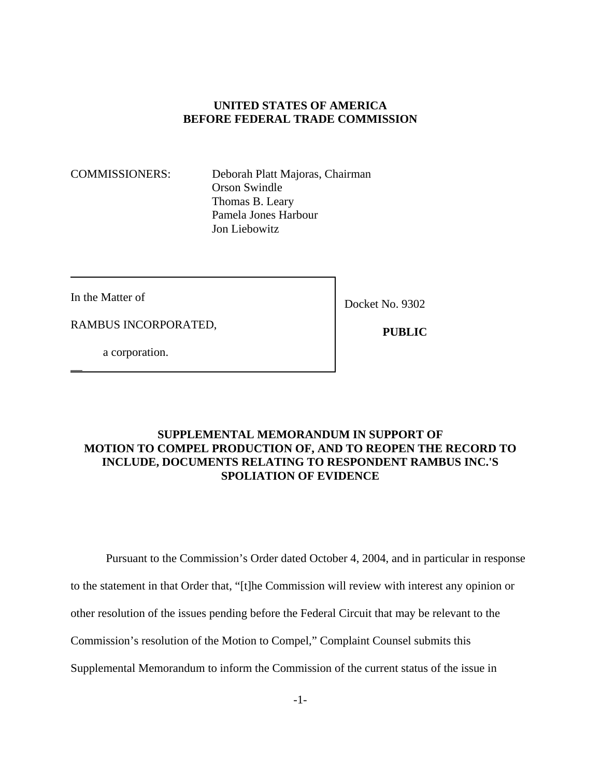## **UNITED STATES OF AMERICA BEFORE FEDERAL TRADE COMMISSION**

COMMISSIONERS: Deborah Platt Majoras, Chairman Orson Swindle Thomas B. Leary Pamela Jones Harbour Jon Liebowitz

In the Matter of

\_\_

Docket No. 9302

RAMBUS INCORPORATED,

 **PUBLIC**

a corporation.

## **SUPPLEMENTAL MEMORANDUM IN SUPPORT OF MOTION TO COMPEL PRODUCTION OF, AND TO REOPEN THE RECORD TO INCLUDE, DOCUMENTS RELATING TO RESPONDENT RAMBUS INC.'S SPOLIATION OF EVIDENCE**

Pursuant to the Commission's Order dated October 4, 2004, and in particular in response

to the statement in that Order that, "[t]he Commission will review with interest any opinion or

other resolution of the issues pending before the Federal Circuit that may be relevant to the

Commission's resolution of the Motion to Compel," Complaint Counsel submits this

Supplemental Memorandum to inform the Commission of the current status of the issue in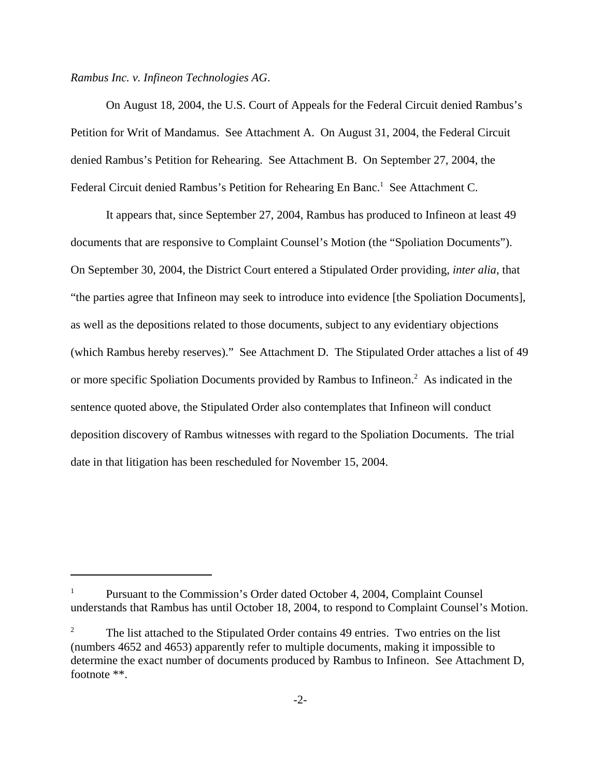*Rambus Inc. v. Infineon Technologies AG*.

On August 18, 2004, the U.S. Court of Appeals for the Federal Circuit denied Rambus's Petition for Writ of Mandamus. See Attachment A. On August 31, 2004, the Federal Circuit denied Rambus's Petition for Rehearing. See Attachment B. On September 27, 2004, the Federal Circuit denied Rambus's Petition for Rehearing En Banc.<sup>1</sup> See Attachment C.

It appears that, since September 27, 2004, Rambus has produced to Infineon at least 49 documents that are responsive to Complaint Counsel's Motion (the "Spoliation Documents"). On September 30, 2004, the District Court entered a Stipulated Order providing, *inter alia*, that "the parties agree that Infineon may seek to introduce into evidence [the Spoliation Documents], as well as the depositions related to those documents, subject to any evidentiary objections (which Rambus hereby reserves)." See Attachment D. The Stipulated Order attaches a list of 49 or more specific Spoliation Documents provided by Rambus to Infineon.<sup>2</sup> As indicated in the sentence quoted above, the Stipulated Order also contemplates that Infineon will conduct deposition discovery of Rambus witnesses with regard to the Spoliation Documents. The trial date in that litigation has been rescheduled for November 15, 2004.

Pursuant to the Commission's Order dated October 4, 2004, Complaint Counsel understands that Rambus has until October 18, 2004, to respond to Complaint Counsel's Motion.

<sup>2</sup> The list attached to the Stipulated Order contains 49 entries. Two entries on the list (numbers 4652 and 4653) apparently refer to multiple documents, making it impossible to determine the exact number of documents produced by Rambus to Infineon. See Attachment D, footnote \*\*.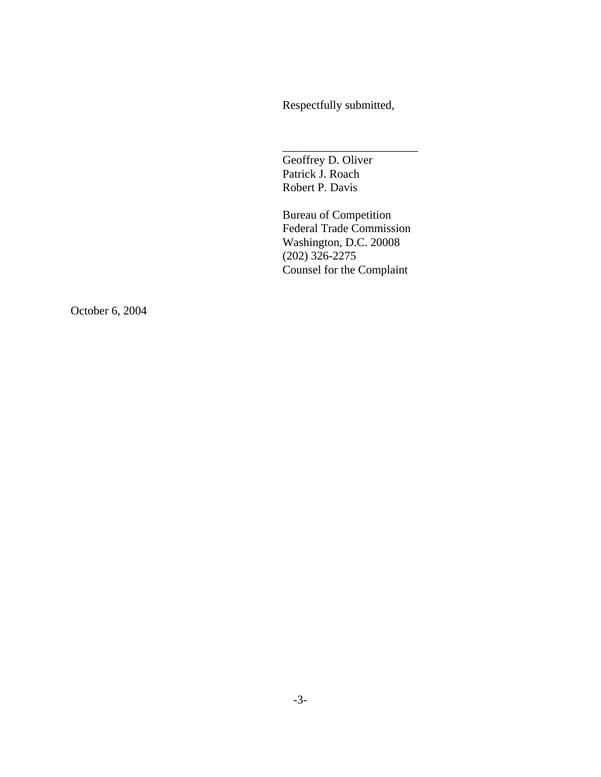Respectfully submitted,

\_\_\_\_\_\_\_\_\_\_\_\_\_\_\_\_\_\_\_\_\_\_\_

Geoffrey D. Oliver Patrick J. Roach Robert P. Davis

Bureau of Competition Federal Trade Commission Washington, D.C. 20008 (202) 326-2275 Counsel for the Complaint

October 6, 2004